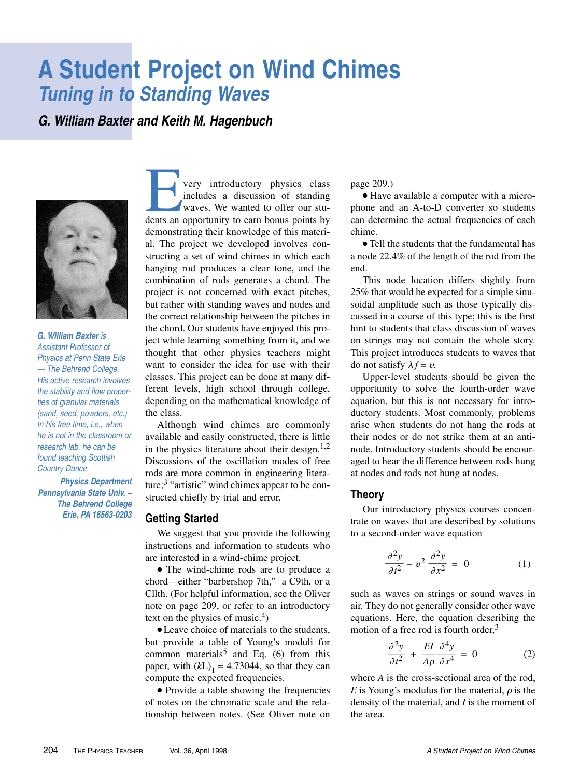# **A Student Project on Wind Chimes Tuning in to Standing Waves**

**G. William Baxter and Keith M. Hagenbuch**



**G. William Baxter** is Assistant Professor of Physics at Penn State Erie — The Behrend College. His active research involves the stability and flow properties of granular materials (sand, seed, powders, etc.) In his free time, i.e., when he is not in the classroom or research lab, he can be found teaching Scottish Country Dance.

**Physics Department Pennsylvania State Univ. – The Behrend College Erie, PA 16563-0203**

**Every introductory physics class**<br>includes a discussion of standing<br>waves. We wanted to offer our stu-<br>dents an opportunity to earn bonus points by includes a discussion of standing waves. We wanted to offer our students an opportunity to earn bonus points by demonstrating their knowledge of this material. The project we developed involves constructing a set of wind chimes in which each hanging rod produces a clear tone, and the combination of rods generates a chord. The project is not concerned with exact pitches, but rather with standing waves and nodes and the correct relationship between the pitches in the chord. Our students have enjoyed this project while learning something from it, and we thought that other physics teachers might want to consider the idea for use with their classes. This project can be done at many different levels, high school through college, depending on the mathematical knowledge of the class.

Although wind chimes are commonly available and easily constructed, there is little in the physics literature about their design. $1,2$ Discussions of the oscillation modes of free rods are more common in engineering literature;3 "artistic" wind chimes appear to be constructed chiefly by trial and error.

#### **Getting Started**

We suggest that you provide the following instructions and information to students who are interested in a wind-chime project.

• The wind-chime rods are to produce a chord—either "barbershop 7th," a C9th, or a Cllth. (For helpful information, see the Oliver note on page 209, or refer to an introductory text on the physics of music.<sup>4</sup>)

● Leave choice of materials to the students, but provide a table of Young's moduli for common materials<sup>5</sup> and Eq. (6) from this paper, with  $(kL)_1 = 4.73044$ , so that they can compute the expected frequencies.

• Provide a table showing the frequencies of notes on the chromatic scale and the relationship between notes. (See Oliver note on page 209.)

● Have available a computer with a microphone and an A-to-D converter so students can determine the actual frequencies of each chime.

● Tell the students that the fundamental has a node 22.4% of the length of the rod from the end.

This node location differs slightly from 25% that would be expected for a simple sinusoidal amplitude such as those typically discussed in a course of this type; this is the first hint to students that class discussion of waves on strings may not contain the whole story. This project introduces students to waves that do not satisfy  $\lambda f = v$ .

Upper-level students should be given the opportunity to solve the fourth-order wave equation, but this is not necessary for introductory students. Most commonly, problems arise when students do not hang the rods at their nodes or do not strike them at an antinode. Introductory students should be encouraged to hear the difference between rods hung at nodes and rods not hung at nodes.

#### **Theory**

Our introductory physics courses concentrate on waves that are described by solutions to a second-order wave equation

$$
\frac{\partial^2 y}{\partial t^2} - v^2 \frac{\partial^2 y}{\partial x^2} = 0 \tag{1}
$$

such as waves on strings or sound waves in air. They do not generally consider other wave equations. Here, the equation describing the motion of a free rod is fourth order, $3$ 

$$
\frac{\partial^2 y}{\partial t^2} + \frac{EI}{A\rho} \frac{\partial^4 y}{\partial x^4} = 0
$$
 (2)

where *A* is the cross-sectional area of the rod, *E* is Young's modulus for the material,  $\rho$  is the density of the material, and *I* is the moment of the area.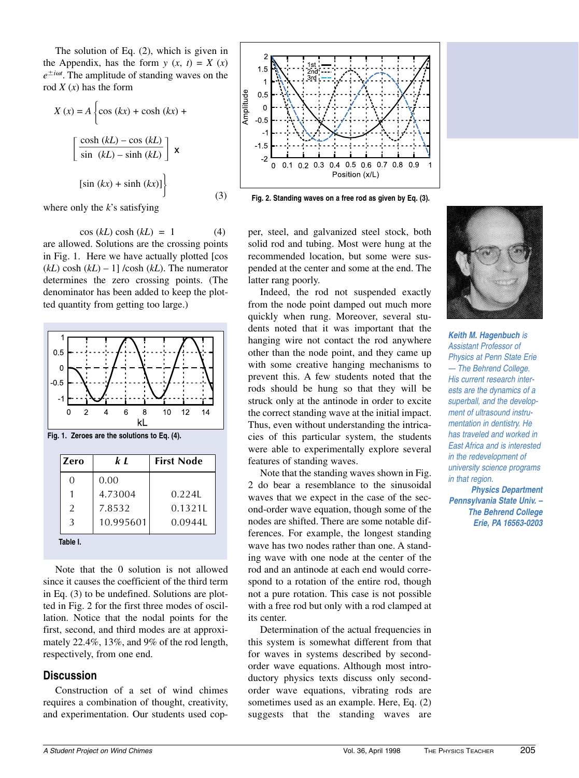The solution of Eq. (2), which is given in the Appendix, has the form  $y(x, t) = X(x)$  $e^{\pm i\omega t}$ . The amplitude of standing waves on the rod  $X(x)$  has the form

$$
X(x) = A \left\{ \cos (kx) + \cosh (kx) + \frac{\cosh (kL) - \cos (kL)}{\sin (kL) - \sinh (kL)} \right\}
$$
  

$$
\left[ \sin (kx) + \sinh (kx) \right] \right\}
$$
 (3)

where only the *k*'s satisfying

 $\cos (kL) \cosh (kL) = 1$  (4) are allowed. Solutions are the crossing points in Fig. 1. Here we have actually plotted [cos  $(kL) \cosh (kL) - 1$ ] /cosh  $(kL)$ . The numerator determines the zero crossing points. (The denominator has been added to keep the plotted quantity from getting too large.)



**Fig. 1. Zeroes are the solutions to Eq. (4).**

| Zero           | k I       | <b>First Node</b> |
|----------------|-----------|-------------------|
| 0              | 0.00      |                   |
|                | 4.73004   | 0.2241            |
| $\overline{2}$ | 7.8532    | 0.1321L           |
| 3              | 10.995601 | 0.09441           |
| Table I.       |           |                   |

Note that the 0 solution is not allowed since it causes the coefficient of the third term in Eq. (3) to be undefined. Solutions are plotted in Fig. 2 for the first three modes of oscillation. Notice that the nodal points for the first, second, and third modes are at approximately 22.4%, 13%, and 9% of the rod length, respectively, from one end.

## **Discussion**

Construction of a set of wind chimes requires a combination of thought, creativity, and experimentation. Our students used cop-



**Fig. 2. Standing waves on a free rod as given by Eq. (3).**

per, steel, and galvanized steel stock, both solid rod and tubing. Most were hung at the recommended location, but some were suspended at the center and some at the end. The latter rang poorly.

Indeed, the rod not suspended exactly from the node point damped out much more quickly when rung. Moreover, several students noted that it was important that the hanging wire not contact the rod anywhere other than the node point, and they came up with some creative hanging mechanisms to prevent this. A few students noted that the rods should be hung so that they will be struck only at the antinode in order to excite the correct standing wave at the initial impact. Thus, even without understanding the intricacies of this particular system, the students were able to experimentally explore several features of standing waves.

Note that the standing waves shown in Fig. 2 do bear a resemblance to the sinusoidal waves that we expect in the case of the second-order wave equation, though some of the nodes are shifted. There are some notable differences. For example, the longest standing wave has two nodes rather than one. A standing wave with one node at the center of the rod and an antinode at each end would correspond to a rotation of the entire rod, though not a pure rotation. This case is not possible with a free rod but only with a rod clamped at its center.

Determination of the actual frequencies in this system is somewhat different from that for waves in systems described by secondorder wave equations. Although most introductory physics texts discuss only secondorder wave equations, vibrating rods are sometimes used as an example. Here, Eq. (2) suggests that the standing waves are



**Keith M. Hagenbuch** is Assistant Professor of Physics at Penn State Erie — The Behrend College. His current research interests are the dynamics of a superball, and the development of ultrasound instrumentation in dentistry. He has traveled and worked in East Africa and is interested in the redevelopment of university science programs in that region.

**Physics Department Pennsylvania State Univ. – The Behrend College Erie, PA 16563-0203**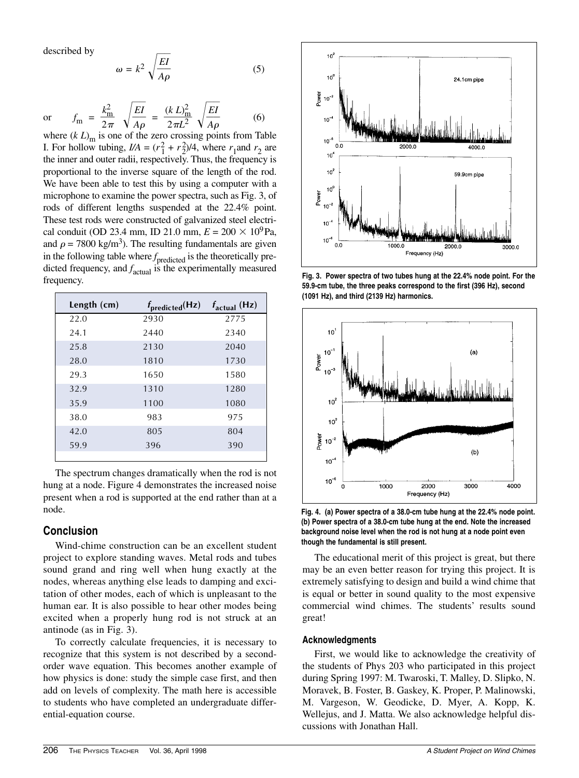described by

$$
\omega = k^2 \sqrt{\frac{EI}{A\rho}} \tag{5}
$$

or 
$$
f_m = \frac{k_m^2}{2\pi} \sqrt{\frac{EI}{A\rho}} = \frac{(k L)_m^2}{2\pi L^2} \sqrt{\frac{EI}{A\rho}}
$$
 (6)

where  $(k L)$ <sub>m</sub> is one of the zero crossing points from Table I. For hollow tubing,  $I/A = (r_1^2 + r_2^2)/4$ , where  $r_1$  and  $r_2$  are the inner and outer radii, respectively. Thus, the frequency is proportional to the inverse square of the length of the rod. We have been able to test this by using a computer with a microphone to examine the power spectra, such as Fig. 3, of rods of different lengths suspended at the 22.4% point. These test rods were constructed of galvanized steel electrical conduit (OD 23.4 mm, ID 21.0 mm,  $E = 200 \times 10^9$ Pa, and  $\rho = 7800 \text{ kg/m}^3$ ). The resulting fundamentals are given in the following table where *f*<sub>predicted</sub> is the theoretically predicted frequency, and *f* actual is the experimentally measured frequency.

| Length $(cm)$ | $f_{\text{predicted}}(Hz)$ | $f_{\text{actual}}$ (Hz) |
|---------------|----------------------------|--------------------------|
| 22.0          | 2930                       | 2775                     |
| 24.1          | 2440                       | 2340                     |
| 25.8          | 2130                       | 2040                     |
| 28.0          | 1810                       | 1730                     |
| 29.3          | 1650                       | 1580                     |
| 32.9          | 1310                       | 1280                     |
| 35.9          | 1100                       | 1080                     |
| 38.0          | 983                        | 975                      |
| 42.0          | 805                        | 804                      |
| 59.9          | 396                        | 390                      |
|               |                            |                          |

The spectrum changes dramatically when the rod is not hung at a node. Figure 4 demonstrates the increased noise present when a rod is supported at the end rather than at a node.

### **Conclusion**

Wind-chime construction can be an excellent student project to explore standing waves. Metal rods and tubes sound grand and ring well when hung exactly at the nodes, whereas anything else leads to damping and excitation of other modes, each of which is unpleasant to the human ear. It is also possible to hear other modes being excited when a properly hung rod is not struck at an antinode (as in Fig. 3).

To correctly calculate frequencies, it is necessary to recognize that this system is not described by a secondorder wave equation. This becomes another example of how physics is done: study the simple case first, and then add on levels of complexity. The math here is accessible to students who have completed an undergraduate differential-equation course.



**Fig. 3. Power spectra of two tubes hung at the 22.4% node point. For the 59.9-cm tube, the three peaks correspond to the first (396 Hz), second (1091 Hz), and third (2139 Hz) harmonics.**



**Fig. 4. (a) Power spectra of a 38.0-cm tube hung at the 22.4% node point. (b) Power spectra of a 38.0-cm tube hung at the end. Note the increased background noise level when the rod is not hung at a node point even though the fundamental is still present.** 

The educational merit of this project is great, but there may be an even better reason for trying this project. It is extremely satisfying to design and build a wind chime that is equal or better in sound quality to the most expensive commercial wind chimes. The students' results sound great!

#### **Acknowledgments**

First, we would like to acknowledge the creativity of the students of Phys 203 who participated in this project during Spring 1997: M. Twaroski, T. Malley, D. Slipko, N. Moravek, B. Foster, B. Gaskey, K. Proper, P. Malinowski, M. Vargeson, W. Geodicke, D. Myer, A. Kopp, K. Wellejus, and J. Matta. We also acknowledge helpful discussions with Jonathan Hall.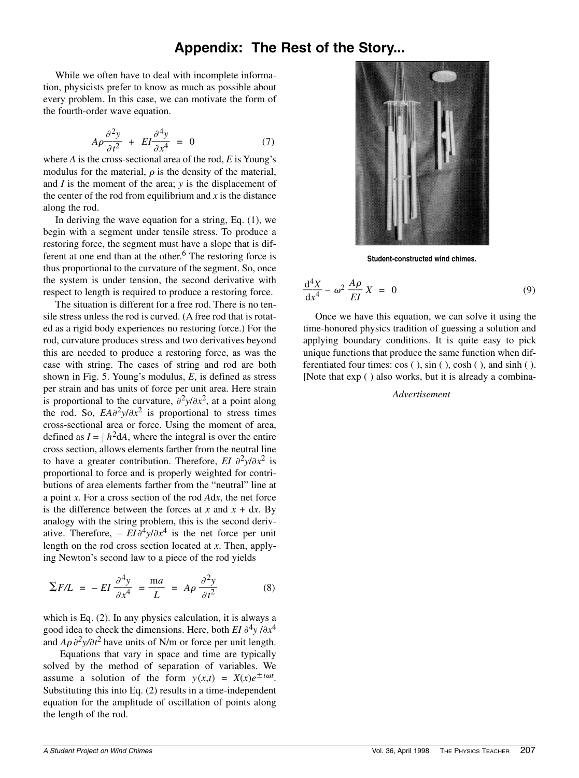# **Appendix: The Rest of the Story...**

While we often have to deal with incomplete information, physicists prefer to know as much as possible about every problem. In this case, we can motivate the form of the fourth-order wave equation.

$$
A\rho \frac{\partial^2 y}{\partial t^2} + EI \frac{\partial^4 y}{\partial x^4} = 0 \tag{7}
$$

where *A* is the cross-sectional area of the rod, *E* is Young's modulus for the material,  $\rho$  is the density of the material, and *I* is the moment of the area; *y* is the displacement of the center of the rod from equilibrium and  $x$  is the distance along the rod.

In deriving the wave equation for a string, Eq. (1), we begin with a segment under tensile stress. To produce a restoring force, the segment must have a slope that is different at one end than at the other.<sup>6</sup> The restoring force is thus proportional to the curvature of the segment. So, once the system is under tension, the second derivative with respect to length is required to produce a restoring force.

The situation is different for a free rod. There is no tensile stress unless the rod is curved. (A free rod that is rotated as a rigid body experiences no restoring force.) For the rod, curvature produces stress and two derivatives beyond this are needed to produce a restoring force, as was the case with string. The cases of string and rod are both shown in Fig. 5. Young's modulus, *E*, is defined as stress per strain and has units of force per unit area. Here strain is proportional to the curvature,  $\partial^2 y / \partial x^2$ , at a point along the rod. So,  $EA\partial^2 y/\partial x^2$  is proportional to stress times cross-sectional area or force. Using the moment of area, defined as  $I = \int h^2 dA$ , where the integral is over the entire cross section, allows elements farther from the neutral line to have a greater contribution. Therefore, *EI*  $\partial^2 y / \partial x^2$  is proportional to force and is properly weighted for contributions of area elements farther from the "neutral" line at a point *x*. For a cross section of the rod *A*d*x*, the net force is the difference between the forces at  $x$  and  $x + dx$ . By analogy with the string problem, this is the second derivative. Therefore,  $- EI \partial^4 y / \partial x^4$  is the net force per unit length on the rod cross section located at *x*. Then, applying Newton's second law to a piece of the rod yields

$$
\Sigma F/L = -EI \frac{\partial^4 y}{\partial x^4} = \frac{ma}{L} = A\rho \frac{\partial^2 y}{\partial t^2}
$$
 (8)

which is Eq. (2). In any physics calculation, it is always a good idea to check the dimensions. Here, both *EI*  $\partial^4 y / \partial x^4$ and  $A\rho \frac{\partial^2 y}{\partial t^2}$  have units of N/m or force per unit length.

Equations that vary in space and time are typically solved by the method of separation of variables. We assume a solution of the form  $y(x,t) = X(x)e^{\pm i\omega t}$ . Substituting this into Eq. (2) results in a time-independent equation for the amplitude of oscillation of points along the length of the rod.



**Student-constructed wind chimes.**

$$
\frac{\mathrm{d}^4 X}{\mathrm{d}x^4} - \omega^2 \frac{A\rho}{EI} X = 0 \tag{9}
$$

Once we have this equation, we can solve it using the time-honored physics tradition of guessing a solution and applying boundary conditions. It is quite easy to pick unique functions that produce the same function when differentiated four times: cos ( ), sin ( ), cosh ( ), and sinh ( ). [Note that exp ( ) also works, but it is already a combina-

#### *Advertisement*